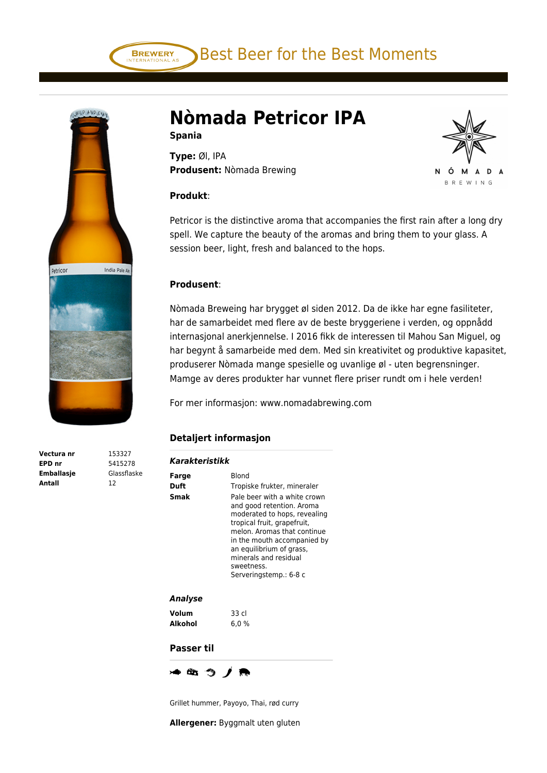Best Beer for the Best Moments



**Vectura nr** 153327 **EPD nr** 5415278 **Emballasje** Glassflaske **Antall** 12

## **Nòmada Petricor IPA**

**Spania**

**BREWERY** 

**Type:** Øl, IPA **Produsent:** Nòmada Brewing

## **Produkt**:

Petricor is the distinctive aroma that accompanies the first rain after a long dry spell. We capture the beauty of the aromas and bring them to your glass. A session beer, light, fresh and balanced to the hops.

ó N

м

D Δ

Δ **BREWING** 

## **Produsent**:

Nòmada Breweing har brygget øl siden 2012. Da de ikke har egne fasiliteter, har de samarbeidet med flere av de beste bryggeriene i verden, og oppnådd internasjonal anerkjennelse. I 2016 fikk de interessen til Mahou San Miguel, og har begynt å samarbeide med dem. Med sin kreativitet og produktive kapasitet, produserer Nòmada mange spesielle og uvanlige øl - uten begrensninger. Mamge av deres produkter har vunnet flere priser rundt om i hele verden!

For mer informasjon: www.nomadabrewing.com

## **Detaljert informasjon**

| Farge      | <b>Blond</b>                                                                                                                                                                                                                                                                        |
|------------|-------------------------------------------------------------------------------------------------------------------------------------------------------------------------------------------------------------------------------------------------------------------------------------|
| Duft       | Tropiske frukter, mineraler                                                                                                                                                                                                                                                         |
| Smak       | Pale beer with a white crown<br>and good retention. Aroma<br>moderated to hops, revealing<br>tropical fruit, grapefruit,<br>melon. Aromas that continue<br>in the mouth accompanied by<br>an equilibrium of grass,<br>minerals and residual<br>sweetness.<br>Serveringstemp.: 6-8 c |
| Analyse    |                                                                                                                                                                                                                                                                                     |
| Volum      | 33 cl                                                                                                                                                                                                                                                                               |
| Alkohol    | 6,0 %                                                                                                                                                                                                                                                                               |
| Passer til |                                                                                                                                                                                                                                                                                     |

Grillet hummer, Payoyo, Thai, rød curry

**Allergener:** Byggmalt uten gluten